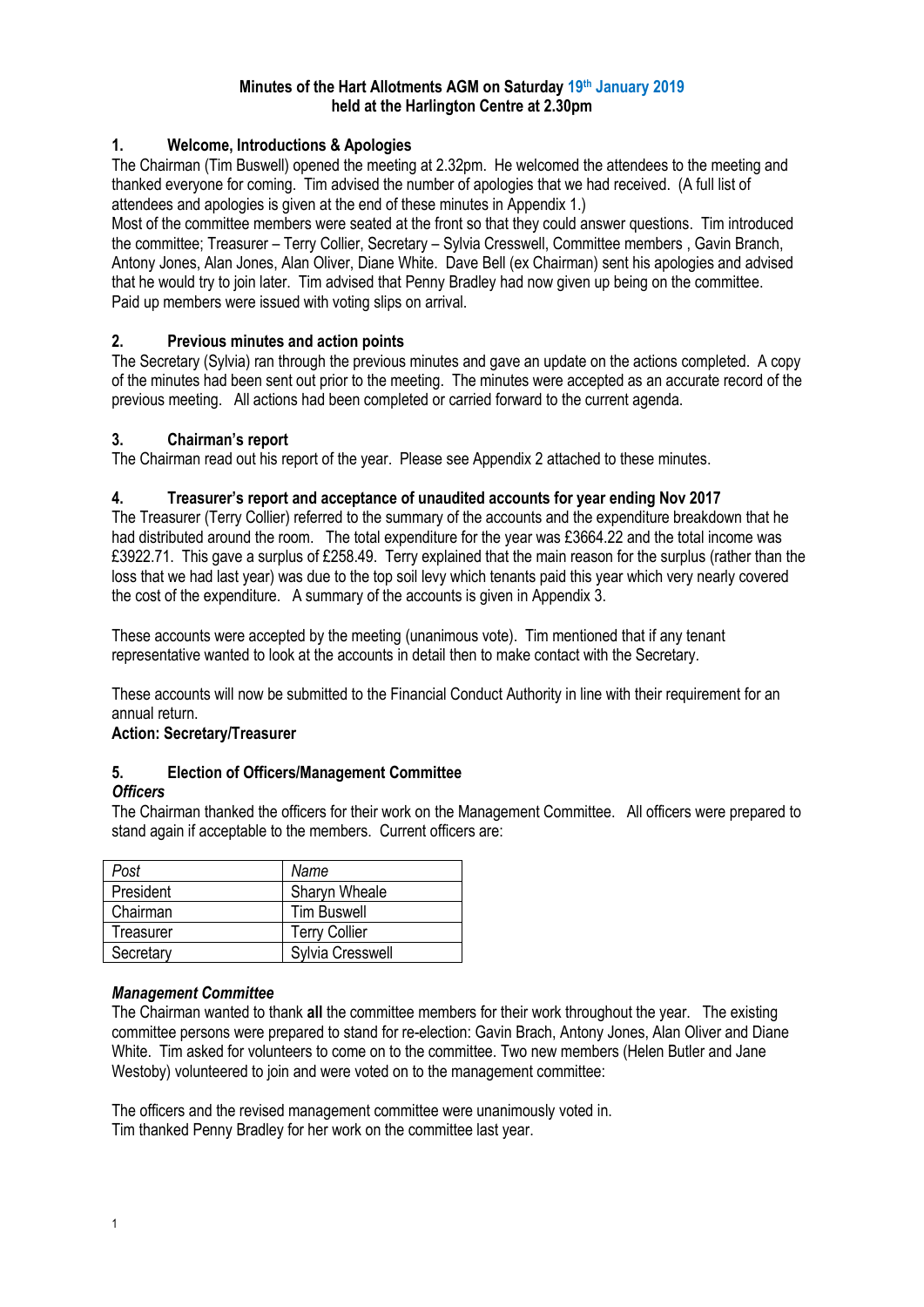#### **Minutes of the Hart Allotments AGM on Saturday 19th January 2019 held at the Harlington Centre at 2.30pm**

## **1. Welcome, Introductions & Apologies**

The Chairman (Tim Buswell) opened the meeting at 2.32pm. He welcomed the attendees to the meeting and thanked everyone for coming. Tim advised the number of apologies that we had received. (A full list of attendees and apologies is given at the end of these minutes in Appendix 1.)

Most of the committee members were seated at the front so that they could answer questions. Tim introduced the committee; Treasurer – Terry Collier, Secretary – Sylvia Cresswell, Committee members , Gavin Branch, Antony Jones, Alan Jones, Alan Oliver, Diane White. Dave Bell (ex Chairman) sent his apologies and advised that he would try to join later. Tim advised that Penny Bradley had now given up being on the committee. Paid up members were issued with voting slips on arrival.

## **2. Previous minutes and action points**

The Secretary (Sylvia) ran through the previous minutes and gave an update on the actions completed. A copy of the minutes had been sent out prior to the meeting. The minutes were accepted as an accurate record of the previous meeting. All actions had been completed or carried forward to the current agenda.

#### **3. Chairman's report**

The Chairman read out his report of the year. Please see Appendix 2 attached to these minutes.

## **4. Treasurer's report and acceptance of unaudited accounts for year ending Nov 2017**

The Treasurer (Terry Collier) referred to the summary of the accounts and the expenditure breakdown that he had distributed around the room. The total expenditure for the year was £3664.22 and the total income was £3922.71. This gave a surplus of £258.49. Terry explained that the main reason for the surplus (rather than the loss that we had last year) was due to the top soil levy which tenants paid this year which very nearly covered the cost of the expenditure. A summary of the accounts is given in Appendix 3.

These accounts were accepted by the meeting (unanimous vote). Tim mentioned that if any tenant representative wanted to look at the accounts in detail then to make contact with the Secretary.

These accounts will now be submitted to the Financial Conduct Authority in line with their requirement for an annual return.

#### **Action: Secretary/Treasurer**

# **5. Election of Officers/Management Committee**

#### *Officers*

The Chairman thanked the officers for their work on the Management Committee. All officers were prepared to stand again if acceptable to the members. Current officers are:

| Post      | Name                    |
|-----------|-------------------------|
| President | Sharyn Wheale           |
| Chairman  | <b>Tim Buswell</b>      |
| Treasurer | <b>Terry Collier</b>    |
| Secretary | <b>Sylvia Cresswell</b> |

#### *Management Committee*

The Chairman wanted to thank **all** the committee members for their work throughout the year. The existing committee persons were prepared to stand for re-election: Gavin Brach, Antony Jones, Alan Oliver and Diane White. Tim asked for volunteers to come on to the committee. Two new members (Helen Butler and Jane Westoby) volunteered to join and were voted on to the management committee:

The officers and the revised management committee were unanimously voted in. Tim thanked Penny Bradley for her work on the committee last year.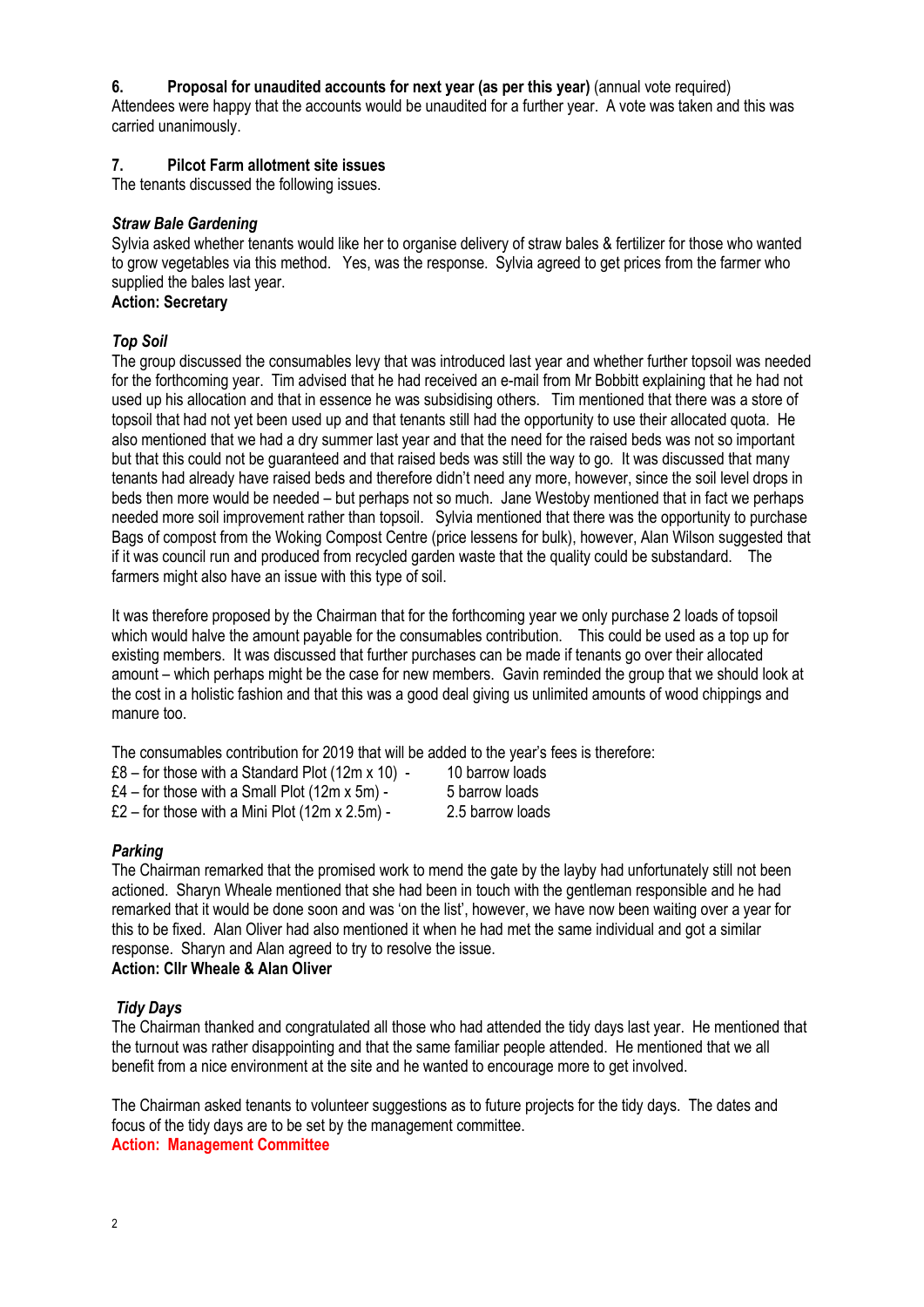## **6. Proposal for unaudited accounts for next year (as per this year)** (annual vote required)

Attendees were happy that the accounts would be unaudited for a further year. A vote was taken and this was carried unanimously.

## **7. Pilcot Farm allotment site issues**

The tenants discussed the following issues.

#### *Straw Bale Gardening*

Sylvia asked whether tenants would like her to organise delivery of straw bales & fertilizer for those who wanted to grow vegetables via this method. Yes, was the response. Sylvia agreed to get prices from the farmer who supplied the bales last year.

**Action: Secretary**

## *Top Soil*

The group discussed the consumables levy that was introduced last year and whether further topsoil was needed for the forthcoming year. Tim advised that he had received an e-mail from Mr Bobbitt explaining that he had not used up his allocation and that in essence he was subsidising others. Tim mentioned that there was a store of topsoil that had not yet been used up and that tenants still had the opportunity to use their allocated quota. He also mentioned that we had a dry summer last year and that the need for the raised beds was not so important but that this could not be guaranteed and that raised beds was still the way to go. It was discussed that many tenants had already have raised beds and therefore didn't need any more, however, since the soil level drops in beds then more would be needed – but perhaps not so much. Jane Westoby mentioned that in fact we perhaps needed more soil improvement rather than topsoil. Sylvia mentioned that there was the opportunity to purchase Bags of compost from the Woking Compost Centre (price lessens for bulk), however, Alan Wilson suggested that if it was council run and produced from recycled garden waste that the quality could be substandard. The farmers might also have an issue with this type of soil.

It was therefore proposed by the Chairman that for the forthcoming year we only purchase 2 loads of topsoil which would halve the amount payable for the consumables contribution. This could be used as a top up for existing members. It was discussed that further purchases can be made if tenants go over their allocated amount – which perhaps might be the case for new members. Gavin reminded the group that we should look at the cost in a holistic fashion and that this was a good deal giving us unlimited amounts of wood chippings and manure too.

The consumables contribution for 2019 that will be added to the year's fees is therefore:

£8 – for those with a Standard Plot  $(12m \times 10)$  - 10 barrow loads £4 – for those with a Small Plot  $(12m \times 5m)$  - 5 barrow loads £2 – for those with a Mini Plot  $(12m \times 2.5m)$  - 2.5 barrow loads

# *Parking*

The Chairman remarked that the promised work to mend the gate by the layby had unfortunately still not been actioned. Sharyn Wheale mentioned that she had been in touch with the gentleman responsible and he had remarked that it would be done soon and was 'on the list', however, we have now been waiting over a year for this to be fixed. Alan Oliver had also mentioned it when he had met the same individual and got a similar response. Sharyn and Alan agreed to try to resolve the issue.

**Action: Cllr Wheale & Alan Oliver**

# *Tidy Days*

The Chairman thanked and congratulated all those who had attended the tidy days last year. He mentioned that the turnout was rather disappointing and that the same familiar people attended. He mentioned that we all benefit from a nice environment at the site and he wanted to encourage more to get involved.

The Chairman asked tenants to volunteer suggestions as to future projects for the tidy days. The dates and focus of the tidy days are to be set by the management committee. **Action: Management Committee**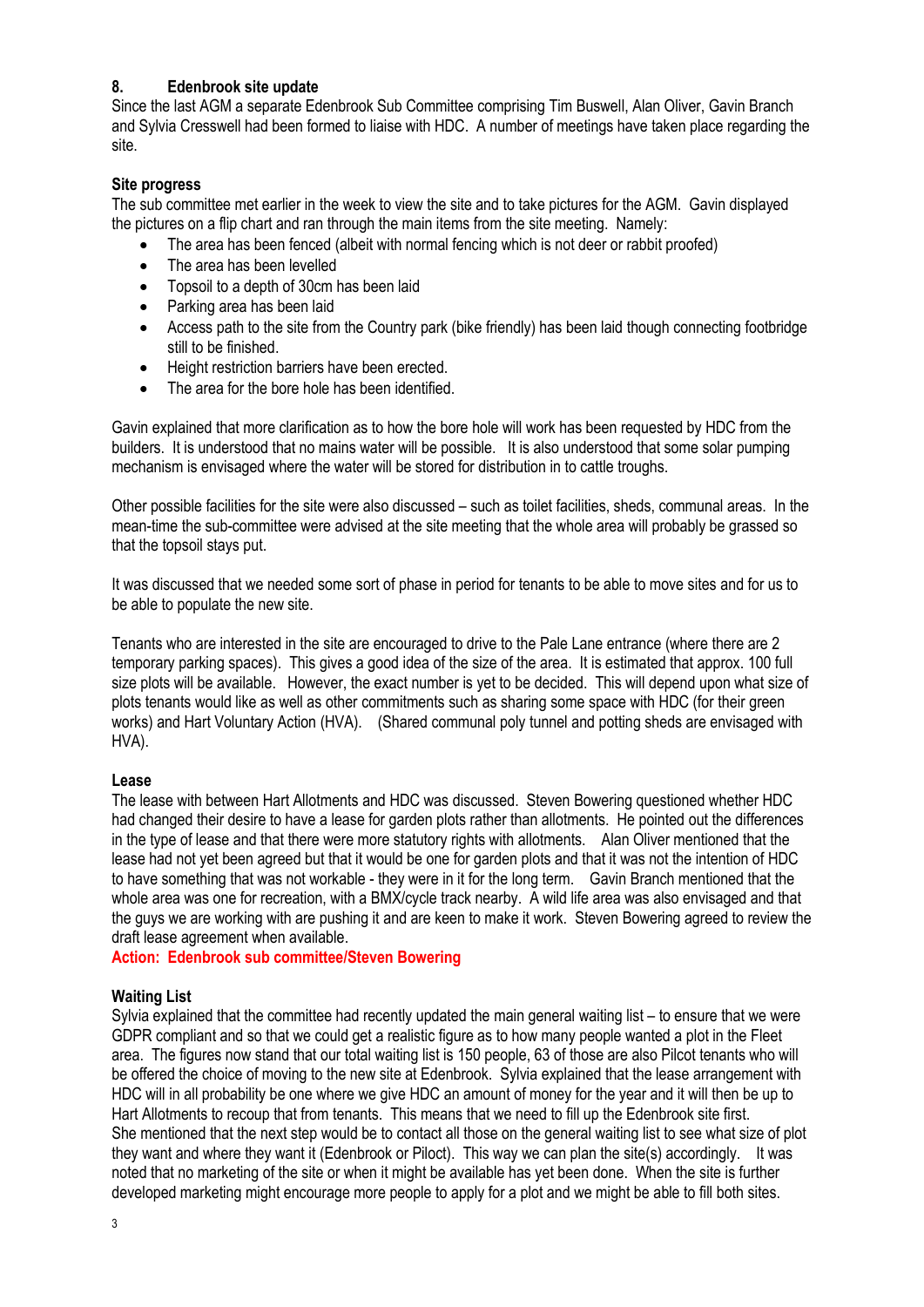#### **8. Edenbrook site update**

Since the last AGM a separate Edenbrook Sub Committee comprising Tim Buswell, Alan Oliver, Gavin Branch and Sylvia Cresswell had been formed to liaise with HDC. A number of meetings have taken place regarding the site.

#### **Site progress**

The sub committee met earlier in the week to view the site and to take pictures for the AGM. Gavin displayed the pictures on a flip chart and ran through the main items from the site meeting. Namely:

- The area has been fenced (albeit with normal fencing which is not deer or rabbit proofed)
- The area has been levelled
- Topsoil to a depth of 30cm has been laid
- Parking area has been laid
- Access path to the site from the Country park (bike friendly) has been laid though connecting footbridge still to be finished.
- Height restriction barriers have been erected.
- The area for the bore hole has been identified

Gavin explained that more clarification as to how the bore hole will work has been requested by HDC from the builders. It is understood that no mains water will be possible. It is also understood that some solar pumping mechanism is envisaged where the water will be stored for distribution in to cattle troughs.

Other possible facilities for the site were also discussed – such as toilet facilities, sheds, communal areas. In the mean-time the sub-committee were advised at the site meeting that the whole area will probably be grassed so that the topsoil stays put.

It was discussed that we needed some sort of phase in period for tenants to be able to move sites and for us to be able to populate the new site.

Tenants who are interested in the site are encouraged to drive to the Pale Lane entrance (where there are 2 temporary parking spaces). This gives a good idea of the size of the area. It is estimated that approx. 100 full size plots will be available. However, the exact number is yet to be decided. This will depend upon what size of plots tenants would like as well as other commitments such as sharing some space with HDC (for their green works) and Hart Voluntary Action (HVA). (Shared communal poly tunnel and potting sheds are envisaged with HVA).

#### **Lease**

The lease with between Hart Allotments and HDC was discussed. Steven Bowering questioned whether HDC had changed their desire to have a lease for garden plots rather than allotments. He pointed out the differences in the type of lease and that there were more statutory rights with allotments. Alan Oliver mentioned that the lease had not yet been agreed but that it would be one for garden plots and that it was not the intention of HDC to have something that was not workable - they were in it for the long term. Gavin Branch mentioned that the whole area was one for recreation, with a BMX/cycle track nearby. A wild life area was also envisaged and that the guys we are working with are pushing it and are keen to make it work. Steven Bowering agreed to review the draft lease agreement when available.

**Action: Edenbrook sub committee/Steven Bowering**

#### **Waiting List**

Sylvia explained that the committee had recently updated the main general waiting list – to ensure that we were GDPR compliant and so that we could get a realistic figure as to how many people wanted a plot in the Fleet area. The figures now stand that our total waiting list is 150 people, 63 of those are also Pilcot tenants who will be offered the choice of moving to the new site at Edenbrook. Sylvia explained that the lease arrangement with HDC will in all probability be one where we give HDC an amount of money for the year and it will then be up to Hart Allotments to recoup that from tenants. This means that we need to fill up the Edenbrook site first. She mentioned that the next step would be to contact all those on the general waiting list to see what size of plot they want and where they want it (Edenbrook or Piloct). This way we can plan the site(s) accordingly. It was noted that no marketing of the site or when it might be available has yet been done. When the site is further developed marketing might encourage more people to apply for a plot and we might be able to fill both sites.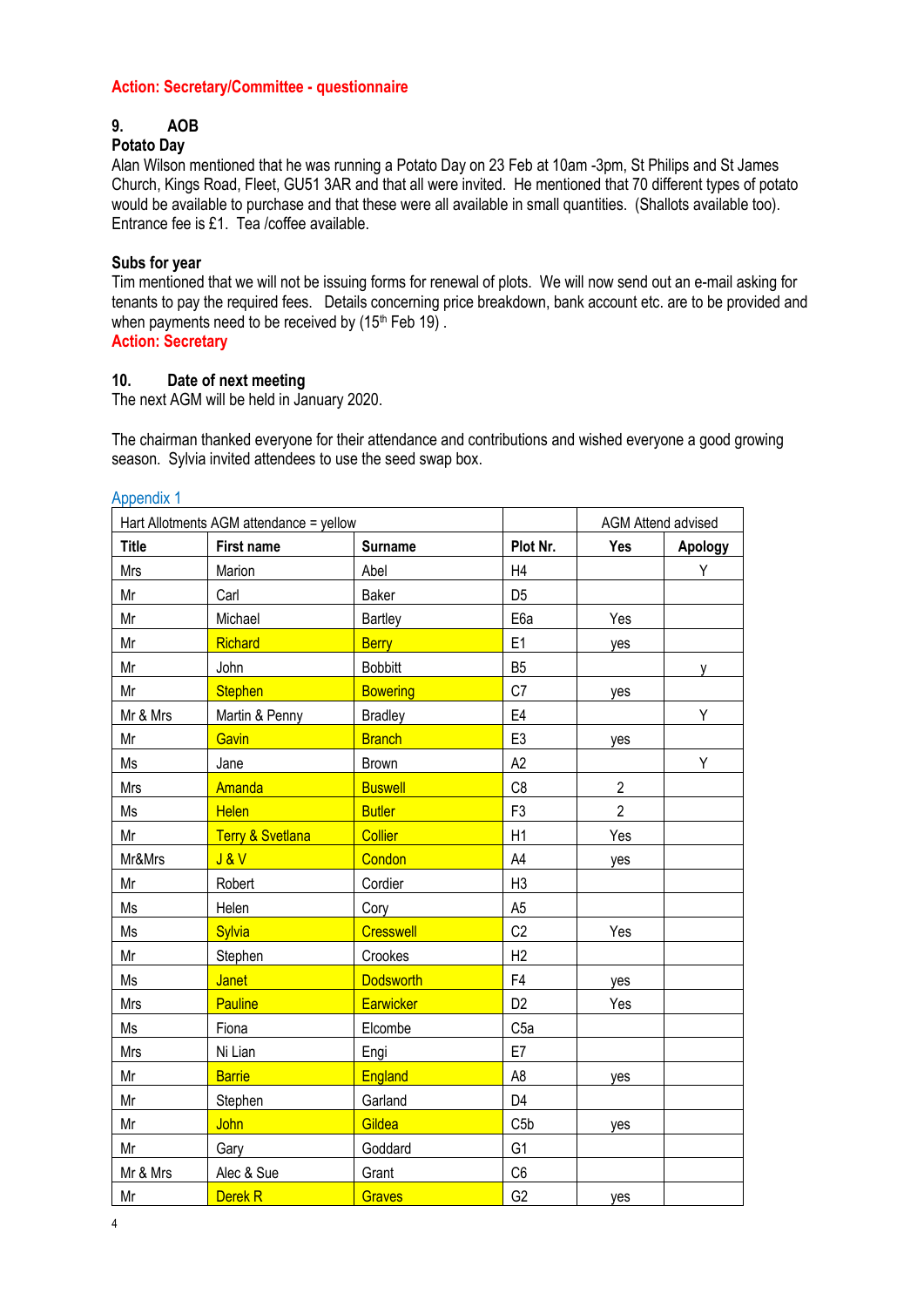#### **Action: Secretary/Committee - questionnaire**

# **9. AOB**

## **Potato Day**

Alan Wilson mentioned that he was running a Potato Day on 23 Feb at 10am -3pm, St Philips and St James Church, Kings Road, Fleet, GU51 3AR and that all were invited. He mentioned that 70 different types of potato would be available to purchase and that these were all available in small quantities. (Shallots available too). Entrance fee is £1. Tea /coffee available.

#### **Subs for year**

Tim mentioned that we will not be issuing forms for renewal of plots. We will now send out an e-mail asking for tenants to pay the required fees. Details concerning price breakdown, bank account etc. are to be provided and when payments need to be received by  $(15<sup>th</sup>$  Feb 19). **Action: Secretary** 

# **10. Date of next meeting**

The next AGM will be held in January 2020.

The chairman thanked everyone for their attendance and contributions and wished everyone a good growing season. Sylvia invited attendees to use the seed swap box.

#### Appendix 1

| Hart Allotments AGM attendance = yellow |                             |                  | <b>AGM Attend advised</b> |                |         |
|-----------------------------------------|-----------------------------|------------------|---------------------------|----------------|---------|
| <b>Title</b>                            | First name                  | <b>Surname</b>   | Plot Nr.                  | Yes            | Apology |
| Mrs                                     | Marion                      | Abel             | H4                        |                | Υ       |
| Mr                                      | Carl                        | Baker            | D <sub>5</sub>            |                |         |
| Mr                                      | Michael                     | <b>Bartley</b>   | E6a                       | Yes            |         |
| Mr                                      | Richard                     | <b>Berry</b>     | E1                        | yes            |         |
| Mr                                      | John                        | <b>Bobbitt</b>   | B <sub>5</sub>            |                | y       |
| Mr                                      | <b>Stephen</b>              | <b>Bowering</b>  | C7                        | yes            |         |
| Mr & Mrs                                | Martin & Penny              | <b>Bradley</b>   | E4                        |                | Υ       |
| Mr                                      | Gavin                       | <b>Branch</b>    | E <sub>3</sub>            | yes            |         |
| Ms                                      | Jane                        | <b>Brown</b>     | A2                        |                | Υ       |
| Mrs                                     | Amanda                      | <b>Buswell</b>   | C <sub>8</sub>            | $\overline{2}$ |         |
| Ms                                      | <b>Helen</b>                | <b>Butler</b>    | F <sub>3</sub>            | $\overline{2}$ |         |
| Mr                                      | <b>Terry &amp; Svetlana</b> | <b>Collier</b>   | H1                        | Yes            |         |
| Mr&Mrs                                  | J&V                         | Condon           | A4                        | yes            |         |
| Mr                                      | Robert                      | Cordier          | H <sub>3</sub>            |                |         |
| Ms                                      | Helen                       | Cory             | A <sub>5</sub>            |                |         |
| Ms                                      | Sylvia                      | <b>Cresswell</b> | C <sub>2</sub>            | Yes            |         |
| Mr                                      | Stephen                     | Crookes          | H2                        |                |         |
| Ms                                      | Janet                       | <b>Dodsworth</b> | F <sub>4</sub>            | yes            |         |
| Mrs                                     | <b>Pauline</b>              | Earwicker        | D <sub>2</sub>            | Yes            |         |
| Ms                                      | Fiona                       | Elcombe          | C <sub>5a</sub>           |                |         |
| Mrs                                     | Ni Lian                     | Engi             | E7                        |                |         |
| Mr                                      | <b>Barrie</b>               | England          | A <sub>8</sub>            | yes            |         |
| Mr                                      | Stephen                     | Garland          | D <sub>4</sub>            |                |         |
| Mr                                      | John                        | Gildea           | C5b                       | yes            |         |
| Mr                                      | Gary                        | Goddard          | G <sub>1</sub>            |                |         |
| Mr & Mrs                                | Alec & Sue                  | Grant            | C <sub>6</sub>            |                |         |
| Mr                                      | Derek <sub>R</sub>          | <b>Graves</b>    | G <sub>2</sub>            | yes            |         |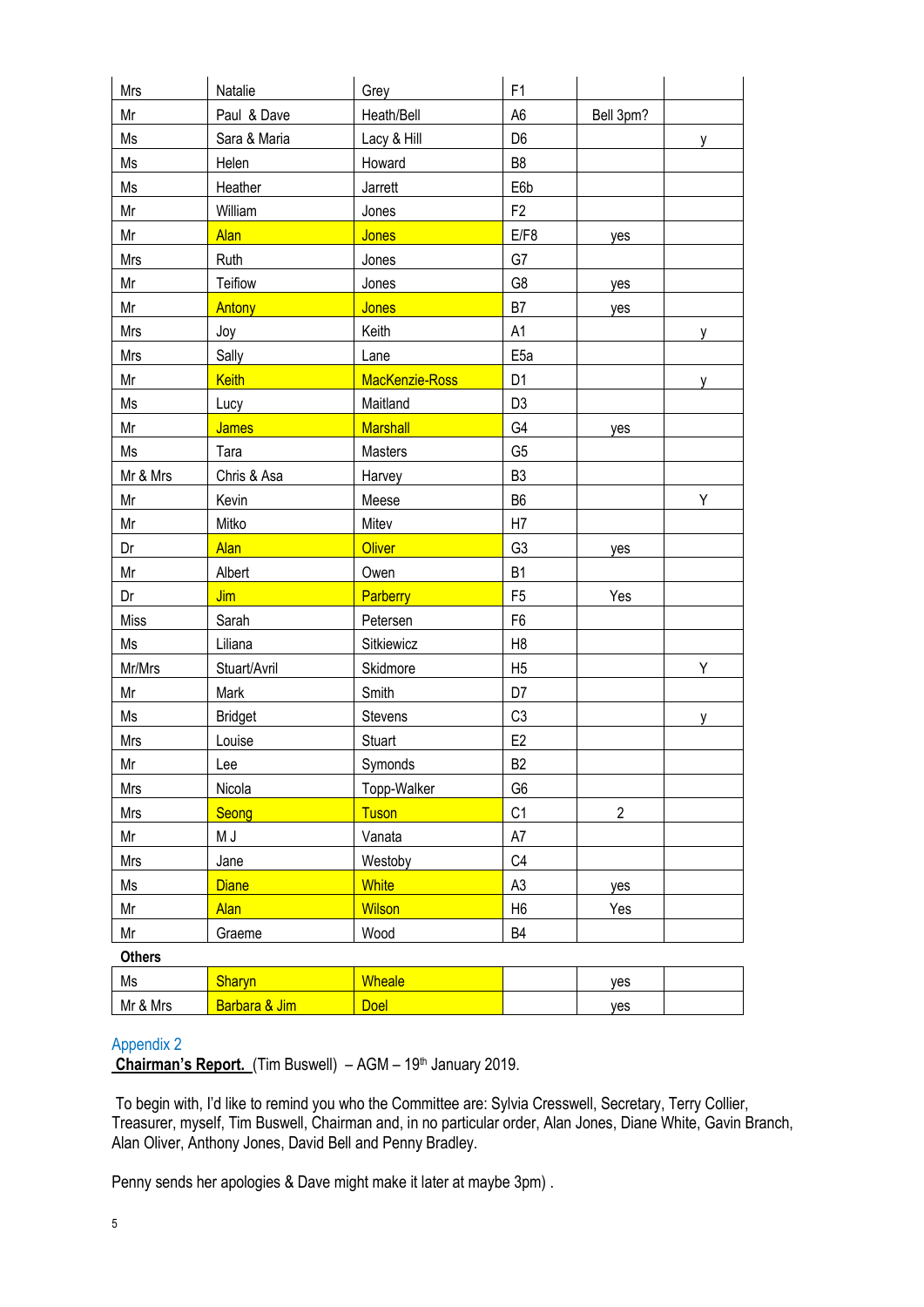| Mrs           | Natalie        | Grey            | F <sub>1</sub>  |                |   |
|---------------|----------------|-----------------|-----------------|----------------|---|
| Mr            | Paul & Dave    | Heath/Bell      | A <sub>6</sub>  | Bell 3pm?      |   |
| Ms            | Sara & Maria   | Lacy & Hill     | D <sub>6</sub>  |                | y |
| Ms            | Helen          | Howard          | B <sub>8</sub>  |                |   |
| Ms            | Heather        | Jarrett         | E6b             |                |   |
| Mr            | William        | Jones           | F <sub>2</sub>  |                |   |
| Mr            | <b>Alan</b>    | Jones           | E/F8            | yes            |   |
| Mrs           | Ruth           | Jones           | G7              |                |   |
| Mr            | Teifiow        | Jones           | G8              | yes            |   |
| Mr            | Antony         | Jones           | B7              | yes            |   |
| Mrs           | Joy            | Keith           | A <sub>1</sub>  |                | y |
| Mrs           | Sally          | Lane            | E <sub>5a</sub> |                |   |
| Mr            | Keith          | MacKenzie-Ross  | D <sub>1</sub>  |                | v |
| Ms            | Lucy           | Maitland        | D <sub>3</sub>  |                |   |
| Mr            | <b>James</b>   | <b>Marshall</b> | G4              | yes            |   |
| Ms            | Tara           | Masters         | G <sub>5</sub>  |                |   |
| Mr & Mrs      | Chris & Asa    | Harvey          | B <sub>3</sub>  |                |   |
| Mr            | Kevin          | Meese           | B <sub>6</sub>  |                | Υ |
| Mr            | Mitko          | Mitev           | H7              |                |   |
| Dr            | <b>Alan</b>    | <b>Oliver</b>   | G <sub>3</sub>  | yes            |   |
| Mr            | Albert         | Owen            | <b>B1</b>       |                |   |
| Dr            | Jim            | <b>Parberry</b> | F <sub>5</sub>  | Yes            |   |
| Miss          | Sarah          | Petersen        | F <sub>6</sub>  |                |   |
| Ms            | Liliana        | Sitkiewicz      | H <sub>8</sub>  |                |   |
| Mr/Mrs        | Stuart/Avril   | Skidmore        | H <sub>5</sub>  |                | Υ |
| Mr            | Mark           | Smith           | D7              |                |   |
| Ms            | <b>Bridget</b> | Stevens         | C <sub>3</sub>  |                | ۷ |
| Mrs           | Louise         | <b>Stuart</b>   | E <sub>2</sub>  |                |   |
| Mr            | Lee            | Symonds         | B <sub>2</sub>  |                |   |
| Mrs           | Nicola         | Topp-Walker     | G <sub>6</sub>  |                |   |
| Mrs           | Seong          | <b>Tuson</b>    | C <sub>1</sub>  | $\overline{2}$ |   |
| Mr            | M J            | Vanata          | A7              |                |   |
| Mrs           | Jane           | Westoby         | C4              |                |   |
| Ms            | <b>Diane</b>   | <b>White</b>    | A <sub>3</sub>  | yes            |   |
| Mr            | <b>Alan</b>    | <b>Wilson</b>   | H <sub>6</sub>  | Yes            |   |
| Mr            | Graeme         | Wood            | <b>B4</b>       |                |   |
| <b>Others</b> |                |                 |                 |                |   |

| Ms       | <b>Sharyn</b>               | <b>Wheale</b> | ves |  |
|----------|-----------------------------|---------------|-----|--|
| Mr & Mrs | .Jim<br><b>Barbara</b><br>ά | <b>Doel</b>   | ves |  |

#### Appendix 2

**Chairman's Report.** (Tim Buswell) – AGM – 19<sup>th</sup> January 2019.

To begin with, I'd like to remind you who the Committee are: Sylvia Cresswell, Secretary, Terry Collier, Treasurer, myself, Tim Buswell, Chairman and, in no particular order, Alan Jones, Diane White, Gavin Branch, Alan Oliver, Anthony Jones, David Bell and Penny Bradley.

Penny sends her apologies & Dave might make it later at maybe 3pm) .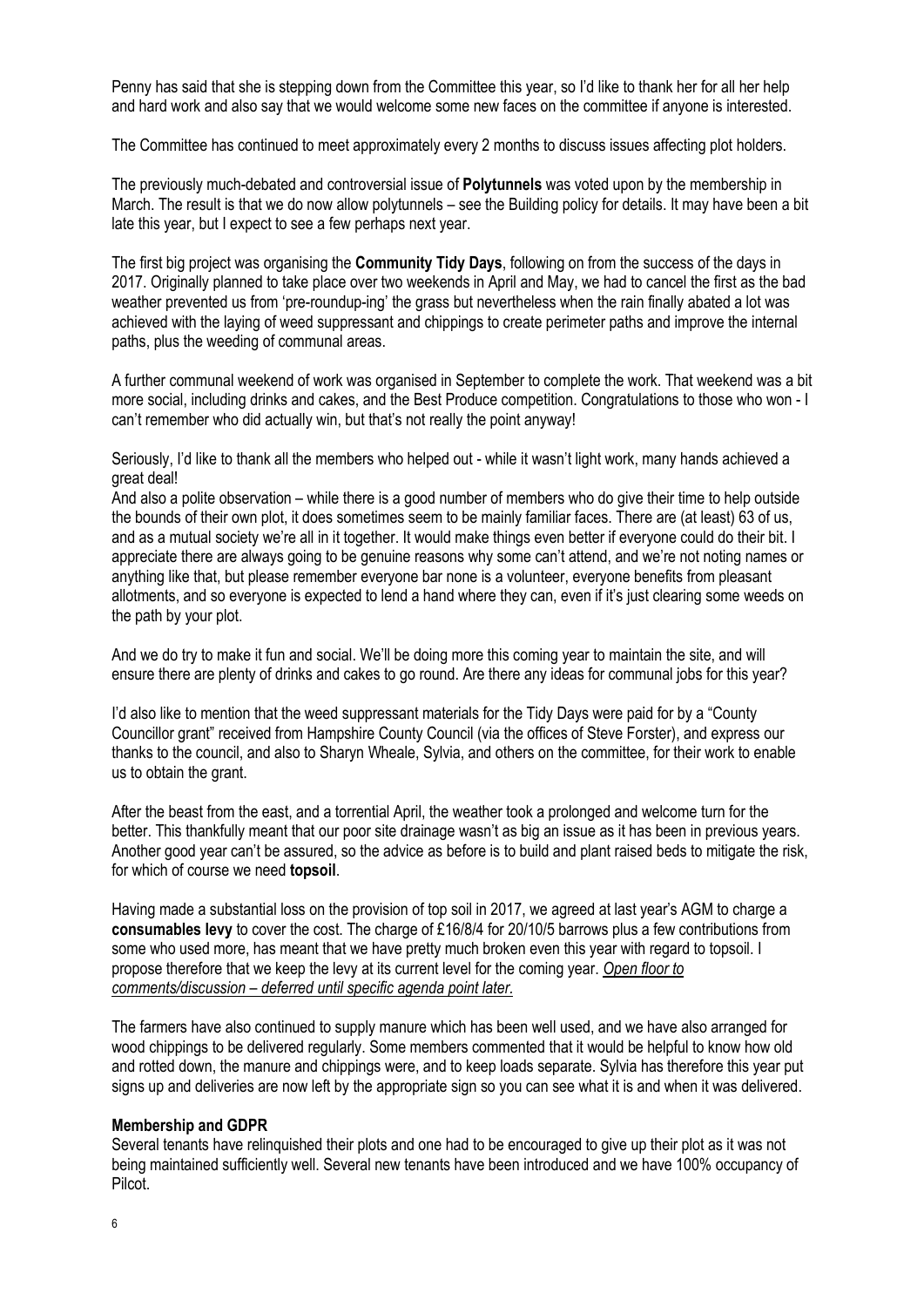Penny has said that she is stepping down from the Committee this year, so I'd like to thank her for all her help and hard work and also say that we would welcome some new faces on the committee if anyone is interested.

The Committee has continued to meet approximately every 2 months to discuss issues affecting plot holders.

The previously much-debated and controversial issue of **Polytunnels** was voted upon by the membership in March. The result is that we do now allow polytunnels – see the Building policy for details. It may have been a bit late this year, but I expect to see a few perhaps next year.

The first big project was organising the **Community Tidy Days**, following on from the success of the days in 2017. Originally planned to take place over two weekends in April and May, we had to cancel the first as the bad weather prevented us from 'pre-roundup-ing' the grass but nevertheless when the rain finally abated a lot was achieved with the laying of weed suppressant and chippings to create perimeter paths and improve the internal paths, plus the weeding of communal areas.

A further communal weekend of work was organised in September to complete the work. That weekend was a bit more social, including drinks and cakes, and the Best Produce competition. Congratulations to those who won - I can't remember who did actually win, but that's not really the point anyway!

Seriously, I'd like to thank all the members who helped out - while it wasn't light work, many hands achieved a great deal!

And also a polite observation – while there is a good number of members who do give their time to help outside the bounds of their own plot, it does sometimes seem to be mainly familiar faces. There are (at least) 63 of us, and as a mutual society we're all in it together. It would make things even better if everyone could do their bit. I appreciate there are always going to be genuine reasons why some can't attend, and we're not noting names or anything like that, but please remember everyone bar none is a volunteer, everyone benefits from pleasant allotments, and so everyone is expected to lend a hand where they can, even if it's just clearing some weeds on the path by your plot.

And we do try to make it fun and social. We'll be doing more this coming year to maintain the site, and will ensure there are plenty of drinks and cakes to go round. Are there any ideas for communal jobs for this year?

I'd also like to mention that the weed suppressant materials for the Tidy Days were paid for by a "County Councillor grant" received from Hampshire County Council (via the offices of Steve Forster), and express our thanks to the council, and also to Sharyn Wheale, Sylvia, and others on the committee, for their work to enable us to obtain the grant.

After the beast from the east, and a torrential April, the weather took a prolonged and welcome turn for the better. This thankfully meant that our poor site drainage wasn't as big an issue as it has been in previous years. Another good year can't be assured, so the advice as before is to build and plant raised beds to mitigate the risk, for which of course we need **topsoil**.

Having made a substantial loss on the provision of top soil in 2017, we agreed at last year's AGM to charge a **consumables levy** to cover the cost. The charge of £16/8/4 for 20/10/5 barrows plus a few contributions from some who used more, has meant that we have pretty much broken even this year with regard to topsoil. I propose therefore that we keep the levy at its current level for the coming year. *Open floor to comments/discussion – deferred until specific agenda point later.*

The farmers have also continued to supply manure which has been well used, and we have also arranged for wood chippings to be delivered regularly. Some members commented that it would be helpful to know how old and rotted down, the manure and chippings were, and to keep loads separate. Sylvia has therefore this year put signs up and deliveries are now left by the appropriate sign so you can see what it is and when it was delivered.

#### **Membership and GDPR**

Several tenants have relinquished their plots and one had to be encouraged to give up their plot as it was not being maintained sufficiently well. Several new tenants have been introduced and we have 100% occupancy of Pilcot.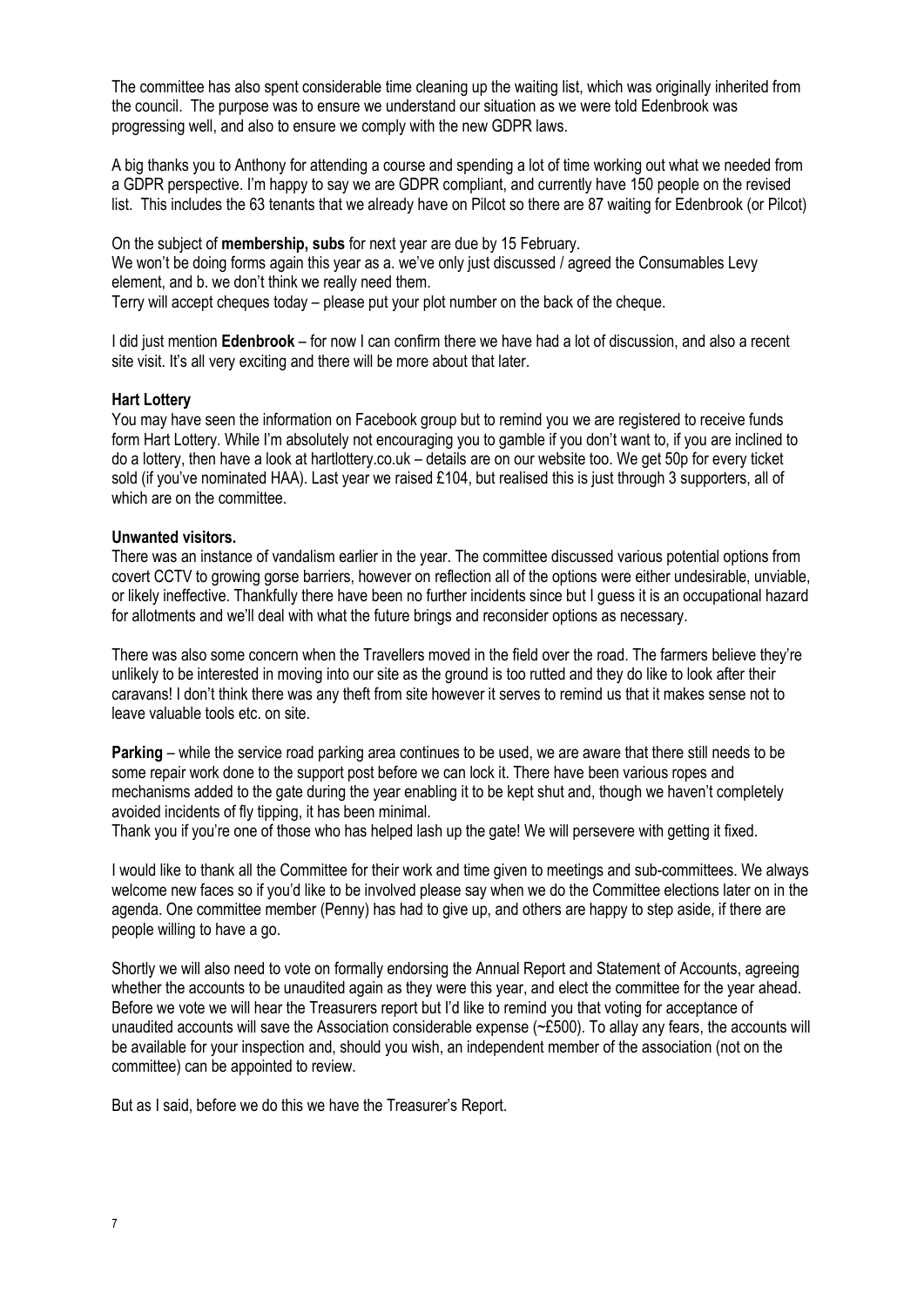The committee has also spent considerable time cleaning up the waiting list, which was originally inherited from the council. The purpose was to ensure we understand our situation as we were told Edenbrook was progressing well, and also to ensure we comply with the new GDPR laws.

A big thanks you to Anthony for attending a course and spending a lot of time working out what we needed from a GDPR perspective. I'm happy to say we are GDPR compliant, and currently have 150 people on the revised list. This includes the 63 tenants that we already have on Pilcot so there are 87 waiting for Edenbrook (or Pilcot)

On the subject of **membership, subs** for next year are due by 15 February.

We won't be doing forms again this year as a. we've only just discussed / agreed the Consumables Levy element, and b. we don't think we really need them.

Terry will accept cheques today – please put your plot number on the back of the cheque.

I did just mention **Edenbrook** – for now I can confirm there we have had a lot of discussion, and also a recent site visit. It's all very exciting and there will be more about that later.

#### **Hart Lottery**

You may have seen the information on Facebook group but to remind you we are registered to receive funds form Hart Lottery. While I'm absolutely not encouraging you to gamble if you don't want to, if you are inclined to do a lottery, then have a look at hartlottery.co.uk – details are on our website too. We get 50p for every ticket sold (if you've nominated HAA). Last year we raised £104, but realised this is just through 3 supporters, all of which are on the committee.

#### **Unwanted visitors.**

There was an instance of vandalism earlier in the year. The committee discussed various potential options from covert CCTV to growing gorse barriers, however on reflection all of the options were either undesirable, unviable, or likely ineffective. Thankfully there have been no further incidents since but I guess it is an occupational hazard for allotments and we'll deal with what the future brings and reconsider options as necessary.

There was also some concern when the Travellers moved in the field over the road. The farmers believe they're unlikely to be interested in moving into our site as the ground is too rutted and they do like to look after their caravans! I don't think there was any theft from site however it serves to remind us that it makes sense not to leave valuable tools etc. on site.

**Parking** – while the service road parking area continues to be used, we are aware that there still needs to be some repair work done to the support post before we can lock it. There have been various ropes and mechanisms added to the gate during the year enabling it to be kept shut and, though we haven't completely avoided incidents of fly tipping, it has been minimal.

Thank you if you're one of those who has helped lash up the gate! We will persevere with getting it fixed.

I would like to thank all the Committee for their work and time given to meetings and sub-committees. We always welcome new faces so if you'd like to be involved please say when we do the Committee elections later on in the agenda. One committee member (Penny) has had to give up, and others are happy to step aside, if there are people willing to have a go.

Shortly we will also need to vote on formally endorsing the Annual Report and Statement of Accounts, agreeing whether the accounts to be unaudited again as they were this year, and elect the committee for the year ahead. Before we vote we will hear the Treasurers report but I'd like to remind you that voting for acceptance of unaudited accounts will save the Association considerable expense (~£500). To allay any fears, the accounts will be available for your inspection and, should you wish, an independent member of the association (not on the committee) can be appointed to review.

But as I said, before we do this we have the Treasurer's Report.